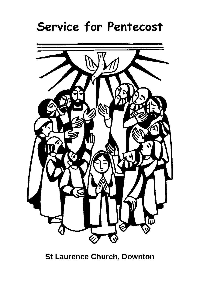# **Service for Pentecost**



**St Laurence Church, Downton**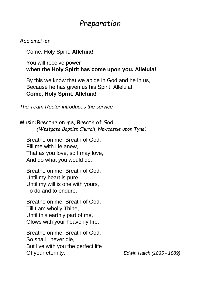## *Preparation*

#### Acclamation

Come, Holy Spirit. **Alleluia!**

#### You will receive power **when the Holy Spirit has come upon you. Alleluia!**

By this we know that we abide in God and he in us, Because he has given us his Spirit. Alleluia! **Come, Holy Spirit. Alleluia!**

*The Team Rector introduces the service*

Music:Breathe on me, Breath of God *(Westgate Baptist Church, Newcastle upon Tyne)*

Breathe on me, Breath of God, Fill me with life anew, That as you love, so I may love, And do what you would do.

Breathe on me, Breath of God, Until my heart is pure, Until my will is one with yours, To do and to endure.

Breathe on me, Breath of God, Till I am wholly Thine, Until this earthly part of me, Glows with your heavenly fire.

Breathe on me, Breath of God, So shall I never die, But live with you the perfect life Of your eternity. *Edwin Hatch (1835 - 1889)*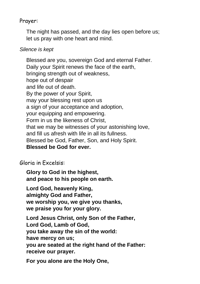#### Prayer:

The night has passed, and the day lies open before us; let us pray with one heart and mind.

#### *Silence is kept*

Blessed are you, sovereign God and eternal Father. Daily your Spirit renews the face of the earth, bringing strength out of weakness, hope out of despair and life out of death. By the power of your Spirit, may your blessing rest upon us a sign of your acceptance and adoption, your equipping and empowering. Form in us the likeness of Christ, that we may be witnesses of your astonishing love, and fill us afresh with life in all its fullness. Blessed be God, Father, Son, and Holy Spirit. **Blessed be God for ever.**

Gloria in Excelsis:

**Glory to God in the highest, and peace to his people on earth.**

**Lord God, heavenly King, almighty God and Father, we worship you, we give you thanks, we praise you for your glory.**

**Lord Jesus Christ, only Son of the Father, Lord God, Lamb of God, you take away the sin of the world: have mercy on us; you are seated at the right hand of the Father: receive our prayer.**

**For you alone are the Holy One,**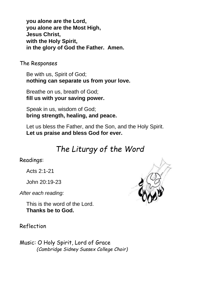**you alone are the Lord, you alone are the Most High, Jesus Christ, with the Holy Spirit, in the glory of God the Father. Amen.**

The Responses

Be with us, Spirit of God; **nothing can separate us from your love.**

Breathe on us, breath of God; **fill us with your saving power.**

Speak in us, wisdom of God; **bring strength, healing, and peace.**

Let us bless the Father, and the Son, and the Holy Spirit. **Let us praise and bless God for ever.**

# *The Liturgy of the Word*

### Readings:

Acts 2:1-21

John 20:19-23

*After each reading:*

This is the word of the Lord. **Thanks be to God.**

Reflection

Music: O Holy Spirit, Lord of Grace *(Cambridge Sidney Sussex College Choir)*

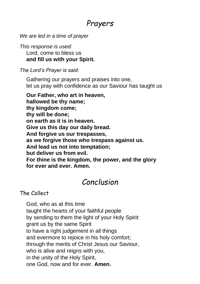### *Prayers*

*We are led in a time of prayer*

*This response is used:* Lord, come to bless us **and fill us with your Spirit.**

*The Lord's Prayer is said:*

Gathering our prayers and praises into one, let us pray with confidence as our Saviour has taught us

**Our Father, who art in heaven, hallowed be thy name; thy kingdom come; thy will be done; on earth as it is in heaven. Give us this day our daily bread. And forgive us our trespasses, as we forgive those who trespass against us. And lead us not into temptation; but deliver us from evil. For thine is the kingdom, the power, and the glory for ever and ever. Amen.**

### *Conclusion*

### The Collect

God, who as at this time taught the hearts of your faithful people by sending to them the light of your Holy Spirit: grant us by the same Spirit to have a right judgement in all things and evermore to rejoice in his holy comfort; through the merits of Christ Jesus our Saviour, who is alive and reigns with you, in the unity of the Holy Spirit, one God, now and for ever. **Amen.**